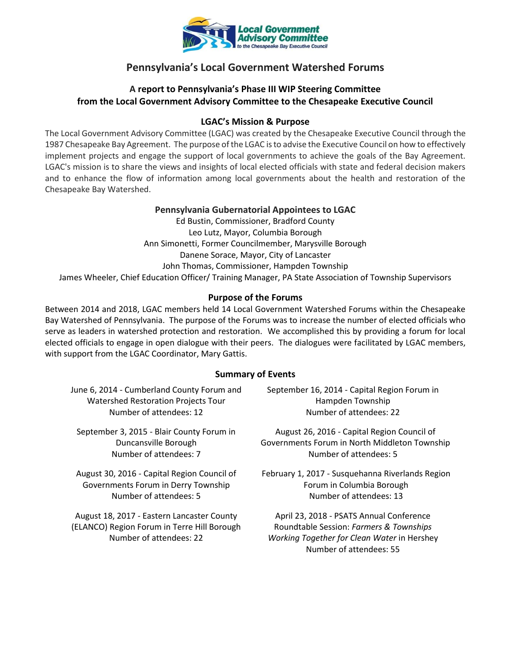

# **Pennsylvania's Local Government Watershed Forums**

# **A report to Pennsylvania's Phase III WIP Steering Committee from the Local Government Advisory Committee to the Chesapeake Executive Council**

## **LGAC's Mission & Purpose**

The Local Government Advisory Committee (LGAC) was created by the Chesapeake Executive Council through the 1987 Chesapeake Bay Agreement. The purpose of the LGAC is to advise the Executive Council on how to effectively implement projects and engage the support of local governments to achieve the goals of the Bay Agreement. LGAC's mission is to share the views and insights of local elected officials with state and federal decision makers and to enhance the flow of information among local governments about the health and restoration of the Chesapeake Bay Watershed.

#### **Pennsylvania Gubernatorial Appointees to LGAC**

Ed Bustin, Commissioner, Bradford County Leo Lutz, Mayor, Columbia Borough Ann Simonetti, Former Councilmember, Marysville Borough Danene Sorace, Mayor, City of Lancaster John Thomas, Commissioner, Hampden Township James Wheeler, Chief Education Officer/ Training Manager, PA State Association of Township Supervisors

#### **Purpose of the Forums**

Between 2014 and 2018, LGAC members held 14 Local Government Watershed Forums within the Chesapeake Bay Watershed of Pennsylvania. The purpose of the Forums was to increase the number of elected officials who serve as leaders in watershed protection and restoration. We accomplished this by providing a forum for local elected officials to engage in open dialogue with their peers. The dialogues were facilitated by LGAC members, with support from the LGAC Coordinator, Mary Gattis.

#### **Summary of Events**

June 6, 2014 - Cumberland County Forum and Watershed Restoration Projects Tour Number of attendees: 12

September 3, 2015 - Blair County Forum in Duncansville Borough Number of attendees: 7

August 30, 2016 - Capital Region Council of Governments Forum in Derry Township Number of attendees: 5

August 18, 2017 - Eastern Lancaster County (ELANCO) Region Forum in Terre Hill Borough Number of attendees: 22

September 16, 2014 - Capital Region Forum in Hampden Township Number of attendees: 22

August 26, 2016 - Capital Region Council of Governments Forum in North Middleton Township Number of attendees: 5

February 1, 2017 - Susquehanna Riverlands Region Forum in Columbia Borough Number of attendees: 13

April 23, 2018 - PSATS Annual Conference Roundtable Session: *Farmers & Townships Working Together for Clean Water* in Hershey Number of attendees: 55